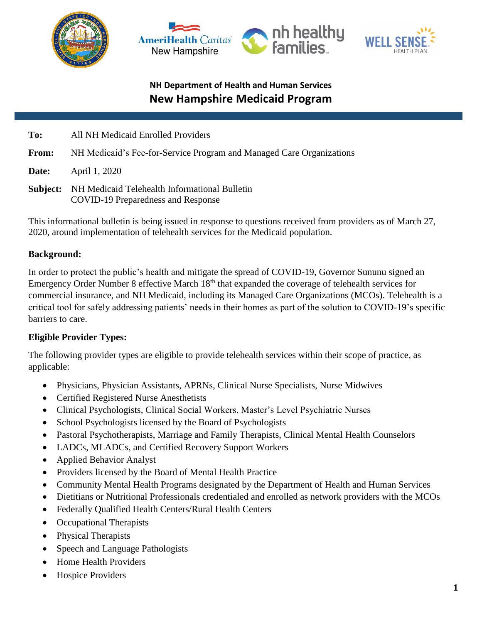





| To:   | All NH Medicaid Enrolled Providers                                                                  |
|-------|-----------------------------------------------------------------------------------------------------|
| From: | NH Medicaid's Fee-for-Service Program and Managed Care Organizations                                |
| Date: | April 1, 2020                                                                                       |
|       | <b>Subject:</b> NH Medicaid Telehealth Informational Bulletin<br>COVID-19 Preparedness and Response |

This informational bulletin is being issued in response to questions received from providers as of March 27, 2020, around implementation of telehealth services for the Medicaid population.

## **Background:**

In order to protect the public's health and mitigate the spread of COVID-19, Governor Sununu signed an Emergency Order Number 8 effective March 18<sup>th</sup> that expanded the coverage of telehealth services for commercial insurance, and NH Medicaid, including its Managed Care Organizations (MCOs). Telehealth is a critical tool for safely addressing patients' needs in their homes as part of the solution to COVID-19's specific barriers to care.

## **Eligible Provider Types:**

The following provider types are eligible to provide telehealth services within their scope of practice, as applicable:

- Physicians, Physician Assistants, APRNs, Clinical Nurse Specialists, Nurse Midwives
- Certified Registered Nurse Anesthetists
- Clinical Psychologists, Clinical Social Workers, Master's Level Psychiatric Nurses
- School Psychologists licensed by the Board of Psychologists
- Pastoral Psychotherapists, Marriage and Family Therapists, Clinical Mental Health Counselors
- LADCs, MLADCs, and Certified Recovery Support Workers
- Applied Behavior Analyst
- Providers licensed by the Board of Mental Health Practice
- Community Mental Health Programs designated by the Department of Health and Human Services
- Dietitians or Nutritional Professionals credentialed and enrolled as network providers with the MCOs
- Federally Qualified Health Centers/Rural Health Centers
- Occupational Therapists
- Physical Therapists
- Speech and Language Pathologists
- Home Health Providers
- Hospice Providers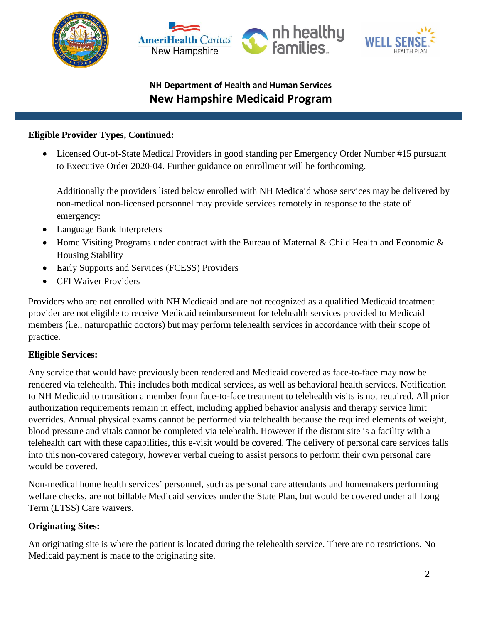





### **Eligible Provider Types, Continued:**

 Licensed Out-of-State Medical Providers in good standing per Emergency Order Number #15 pursuant to Executive Order 2020-04. Further guidance on enrollment will be forthcoming.

Additionally the providers listed below enrolled with NH Medicaid whose services may be delivered by non-medical non-licensed personnel may provide services remotely in response to the state of emergency:

- Language Bank Interpreters
- Home Visiting Programs under contract with the Bureau of Maternal & Child Health and Economic & Housing Stability
- Early Supports and Services (FCESS) Providers
- CFI Waiver Providers

Providers who are not enrolled with NH Medicaid and are not recognized as a qualified Medicaid treatment provider are not eligible to receive Medicaid reimbursement for telehealth services provided to Medicaid members (i.e., naturopathic doctors) but may perform telehealth services in accordance with their scope of practice.

## **Eligible Services:**

Any service that would have previously been rendered and Medicaid covered as face-to-face may now be rendered via telehealth. This includes both medical services, as well as behavioral health services. Notification to NH Medicaid to transition a member from face-to-face treatment to telehealth visits is not required. All prior authorization requirements remain in effect, including applied behavior analysis and therapy service limit overrides. Annual physical exams cannot be performed via telehealth because the required elements of weight, blood pressure and vitals cannot be completed via telehealth. However if the distant site is a facility with a telehealth cart with these capabilities, this e-visit would be covered. The delivery of personal care services falls into this non-covered category, however verbal cueing to assist persons to perform their own personal care would be covered.

Non-medical home health services' personnel, such as personal care attendants and homemakers performing welfare checks, are not billable Medicaid services under the State Plan, but would be covered under all Long Term (LTSS) Care waivers.

## **Originating Sites:**

An originating site is where the patient is located during the telehealth service. There are no restrictions. No Medicaid payment is made to the originating site.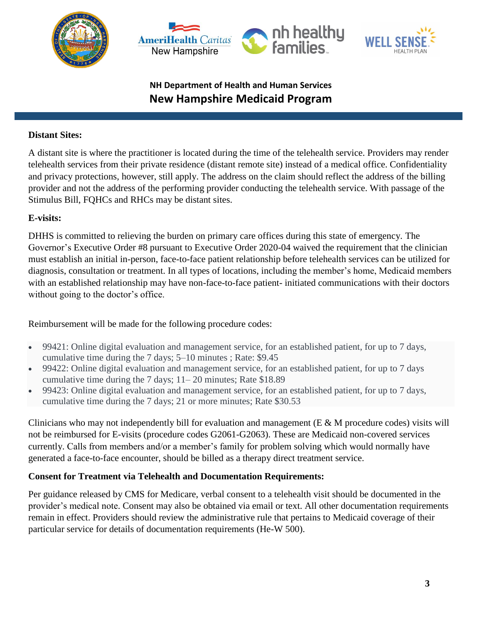





#### **Distant Sites:**

A distant site is where the practitioner is located during the time of the telehealth service. Providers may render telehealth services from their private residence (distant remote site) instead of a medical office. Confidentiality and privacy protections, however, still apply. The address on the claim should reflect the address of the billing provider and not the address of the performing provider conducting the telehealth service. With passage of the Stimulus Bill, FQHCs and RHCs may be distant sites.

### **E-visits:**

DHHS is committed to relieving the burden on primary care offices during this state of emergency. The Governor's Executive Order #8 pursuant to Executive Order 2020-04 waived the requirement that the clinician must establish an initial in-person, face-to-face patient relationship before telehealth services can be utilized for diagnosis, consultation or treatment. In all types of locations, including the member's home, Medicaid members with an established relationship may have non-face-to-face patient- initiated communications with their doctors without going to the doctor's office.

Reimbursement will be made for the following procedure codes:

- 99421: Online digital evaluation and management service, for an established patient, for up to 7 days, cumulative time during the 7 days; 5–10 minutes ; Rate: \$9.45
- 99422: Online digital evaluation and management service, for an established patient, for up to 7 days cumulative time during the 7 days; 11– 20 minutes; Rate \$18.89
- 99423: Online digital evaluation and management service, for an established patient, for up to 7 days, cumulative time during the 7 days; 21 or more minutes; Rate \$30.53

Clinicians who may not independently bill for evaluation and management  $(E \& M)$  procedure codes) visits will not be reimbursed for E-visits (procedure codes G2061-G2063). These are Medicaid non-covered services currently. Calls from members and/or a member's family for problem solving which would normally have generated a face-to-face encounter, should be billed as a therapy direct treatment service.

## **Consent for Treatment via Telehealth and Documentation Requirements:**

Per guidance released by CMS for Medicare, verbal consent to a telehealth visit should be documented in the provider's medical note. Consent may also be obtained via email or text. All other documentation requirements remain in effect. Providers should review the administrative rule that pertains to Medicaid coverage of their particular service for details of documentation requirements (He-W 500).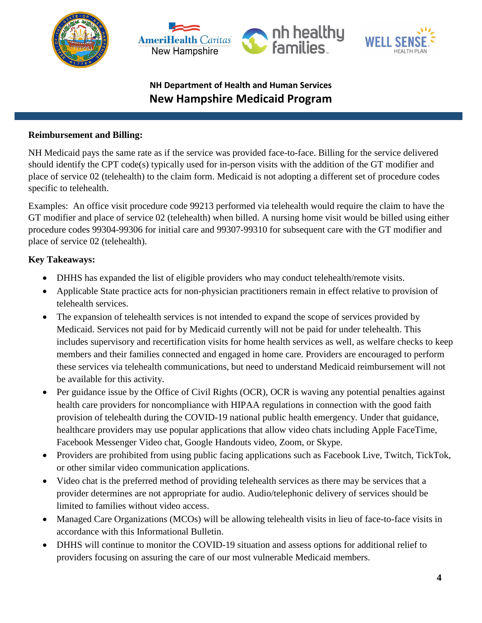





#### **Reimbursement and Billing:**

NH Medicaid pays the same rate as if the service was provided face-to-face. Billing for the service delivered should identify the CPT code(s) typically used for in-person visits with the addition of the GT modifier and place of service 02 (telehealth) to the claim form. Medicaid is not adopting a different set of procedure codes specific to telehealth.

Examples: An office visit procedure code 99213 performed via telehealth would require the claim to have the GT modifier and place of service 02 (telehealth) when billed. A nursing home visit would be billed using either procedure codes 99304-99306 for initial care and 99307-99310 for subsequent care with the GT modifier and place of service 02 (telehealth).

## **Key Takeaways:**

- DHHS has expanded the list of eligible providers who may conduct telehealth/remote visits.
- Applicable State practice acts for non-physician practitioners remain in effect relative to provision of telehealth services.
- The expansion of telehealth services is not intended to expand the scope of services provided by Medicaid. Services not paid for by Medicaid currently will not be paid for under telehealth. This includes supervisory and recertification visits for home health services as well, as welfare checks to keep members and their families connected and engaged in home care. Providers are encouraged to perform these services via telehealth communications, but need to understand Medicaid reimbursement will not be available for this activity.
- Per guidance issue by the Office of Civil Rights (OCR), OCR is waving any potential penalties against health care providers for noncompliance with HIPAA regulations in connection with the good faith provision of telehealth during the COVID-19 national public health emergency. Under that guidance, healthcare providers may use popular applications that allow video chats including Apple FaceTime, Facebook Messenger Video chat, Google Handouts video, Zoom, or Skype.
- Providers are prohibited from using public facing applications such as Facebook Live, Twitch, TickTok, or other similar video communication applications.
- Video chat is the preferred method of providing telehealth services as there may be services that a provider determines are not appropriate for audio. Audio/telephonic delivery of services should be limited to families without video access.
- Managed Care Organizations (MCOs) will be allowing telehealth visits in lieu of face-to-face visits in accordance with this Informational Bulletin.
- DHHS will continue to monitor the COVID-19 situation and assess options for additional relief to providers focusing on assuring the care of our most vulnerable Medicaid members.